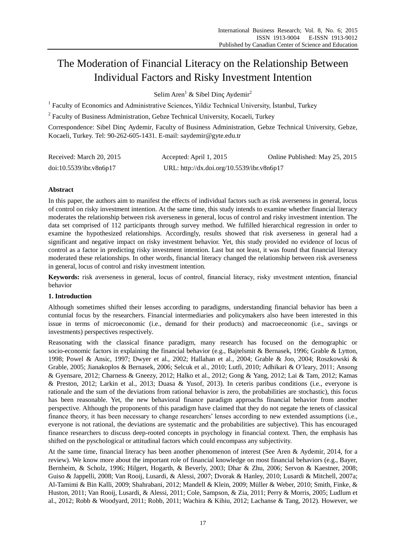# The Moderation of Financial Literacy on the Relationship Between Individual Factors and Risky Investment Intention

Selim Aren<sup>1</sup> & Sibel Dinc Aydemir<sup>2</sup>

<sup>1</sup> Faculty of Economics and Administrative Sciences, Yildiz Technical University, İstanbul, Turkey

<sup>2</sup> Faculty of Business Administration, Gebze Technical University, Kocaeli, Turkey

Correspondence: Sibel Dinç Aydemir, Faculty of Business Administration, Gebze Technical University, Gebze, Kocaeli, Turkey. Tel: 90-262-605-1431. E-mail: saydemir@gyte.edu.tr

| Received: March 20, 2015 | Accepted: April 1, 2015                    | Online Published: May 25, 2015 |
|--------------------------|--------------------------------------------|--------------------------------|
| doi:10.5539/ibr.v8n6p17  | URL: http://dx.doi.org/10.5539/ibr.v8n6p17 |                                |

## **Abstract**

In this paper, the authors aim to manifest the effects of individual factors such as risk averseness in general, locus of control on risky investment intention. At the same time, this study intends to examine whether financial literacy moderates the relationship between risk averseness in general, locus of control and risky investment intention. The data set comprised of 112 participants through survey method. We fulfilled hierarchical regression in order to examine the hypothesized relationships. Accordingly, results showed that risk averseness in general had a significant and negative impact on risky investment behavior. Yet, this study provided no evidence of locus of control as a factor in predicting risky investment intention. Last but not least, it was found that financial literacy moderated these relationships. In other words, financial literacy changed the relationship between risk averseness in general, locus of control and risky investment intention.

**Keywords:** risk averseness in general, locus of control, financial literacy, risky ınvestment ıntention, financial behavior

## **1. Introduction**

Although sometimes shifted their lenses according to paradigms, understanding financial behavior has been a contunial focus by the researchers. Financial intermediaries and policymakers also have been interested in this issue in terms of microeconomic (i.e., demand for their products) and macroeceonomic (i.e., savings or investments) perspectives respectively.

Reasonating with the classical finance paradigm, many research has focused on the demographic or socio-economic factors in explaining the financial behavior (e.g., Bajtelsmit & Bernasek, 1996; Grable & Lytton, 1998; Powel & Ansic, 1997; Dwyer et al., 2002; Hallahan et al., 2004; Grable & Joo, 2004; Roszkowski & Grable, 2005; Jianakoplos & Bernasek, 2006; Selcuk et al., 2010; Lutfi, 2010; Adhikari & O'leary, 2011; Ansong & Gyensare, 2012; Charness & Gneezy, 2012; Halko et al., 2012; Gong & Yang, 2012; Lai & Tam, 2012; Kamas & Preston, 2012; Larkin et al., 2013; Duasa & Yusof, 2013). In ceteris paribus conditions (i.e., everyone is rationale and the sum of the deviations from rational behavior is zero, the probabilities are stochastic), this focus has been reasonable. Yet, the new behavioral finance paradigm approachs financial behavior from another perspective. Although the proponents of this paradigm have claimed that they do not negate the tenets of classical finance theory, it has been necessary to change researchers' lenses according to new extended assumptions (i.e., everyone is not rational, the deviations are systematic and the probabilities are subjective). This has encouraged finance researchers to discuss deep-rooted concepts in psychology in financial context. Then, the emphasis has shifted on the pyschological or attitudinal factors which could encompass any subjectivity.

At the same time, financial literacy has been another phenomenon of interest (See Aren & Aydemir, 2014, for a review). We know more about the important role of financial knowledge on most financial behaviors (e.g., Bayer, Bernheim, & Scholz, 1996; Hilgert, Hogarth, & Beverly, 2003; Dhar & Zhu, 2006; Servon & Kaestner, 2008; Guiso & Jappelli, 2008; Van Rooij, Lusardi, & Alessi, 2007; Dvorak & Hanley, 2010; Lusardi & Mitchell, 2007a; Al-Tamimi & Bin Kalli, 2009; Shahrabani, 2012; Mandell & Klein, 2009; Müller & Weber, 2010; Smith, Finke, & Huston, 2011; Van Rooij, Lusardi, & Alessi, 2011; Cole, Sampson, & Zia, 2011; Perry & Morris, 2005; Ludlum et al., 2012; Robb & Woodyard, 2011; Robb, 2011; Wachira & Kihiu, 2012; Lachanse & Tang, 2012). However, we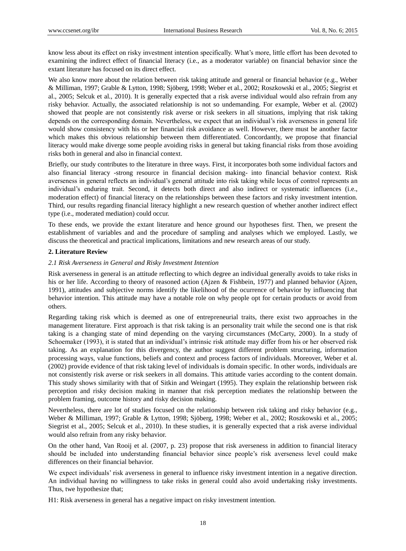know less about its effect on risky investment intention specifically. What's more, little effort has been devoted to examining the indirect effect of financial literacy (i.e., as a moderator variable) on financial behavior since the extant literature has focused on its direct effect.

We also know more about the relation between risk taking attitude and general or financial behavior (e.g., Weber & Milliman, 1997; Grable & Lytton, 1998; Sjöberg, 1998; Weber et al., 2002; Roszkowski et al., 2005; Siegrist et al., 2005; Selcuk et al., 2010). It is generally expected that a risk averse individual would also refrain from any risky behavior. Actually, the associated relationship is not so undemanding. For example, Weber et al. (2002) showed that people are not consistently risk averse or risk seekers in all situations, implying that risk taking depends on the corresponding domain. Nevertheless, we expect that an individual's risk averseness in general life would show consistency with his or her financial risk avoidance as well. However, there must be another factor which makes this obvious relationship between them differentiated. Concordantly, we propose that financial literacy would make diverge some people avoiding risks in general but taking financial risks from those avoiding risks both in general and also in financial context.

Briefly, our study contributes to the literature in three ways. First, it incorporates both some individual factors and also financial literacy -strong resource in financial decision making- into financial behavior context. Risk averseness in general reflects an individual's general attitude into risk taking while locus of control represents an individual's enduring trait. Second, it detects both direct and also indirect or systematic influences (i.e., moderation effect) of financial literacy on the relationships between these factors and risky investment intention. Third, our results regarding financial literacy highlight a new research question of whether another indirect effect type (i.e., moderated mediation) could occur.

To these ends, we provide the extant literature and hence ground our hypotheses first. Then, we present the establishment of variables and and the procedure of sampling and analyses which we employed. Lastly, we discuss the theoretical and practical implications, limitations and new research areas of our study.

#### **2. Literature Review**

#### *2.1 Risk Averseness in General and Risky Investment Intention*

Risk averseness in general is an attitude reflecting to which degree an individual generally avoids to take risks in his or her life. According to theory of reasoned action (Ajzen & Fishbein, 1977) and planned behavior (Ajzen, 1991), attitudes and subjective norms identify the likelihood of the ocurrence of behavior by influencing that behavior intention. This attitude may have a notable role on why people opt for certain products or avoid from others.

Regarding taking risk which is deemed as one of entrepreneurial traits, there exist two approaches in the management literature. First approach is that risk taking is an personality trait while the second one is that risk taking is a changing state of mind depending on the varying circumstances (McCarty, 2000). In a study of Schoemaker (1993), it is stated that an individual's intrinsic risk attitude may differ from his or her observed risk taking. As an explanation for this divergency, the author suggest different problem structuring, information processing ways, value functions, beliefs and context and process factors of individuals. Moreover, Weber et al. (2002) provide evidence of that risk taking level of individuals is domain specific. In other words, individuals are not consistently risk averse or risk seekers in all domains. This attitude varies according to the content domain. This study shows similarity with that of Sitkin and Weingart (1995). They explain the relationship between risk perception and risky decision making in manner that risk perception mediates the relationship between the problem framing, outcome history and risky decision making.

Nevertheless, there are lot of studies focused on the relationship between risk taking and risky behavior (e.g., Weber & Milliman, 1997; Grable & Lytton, 1998; Sjöberg, 1998; Weber et al., 2002; Roszkowski et al., 2005; Siegrist et al., 2005; Selcuk et al., 2010). In these studies, it is generally expected that a risk averse individual would also refrain from any risky behavior.

On the other hand, Van Rooij et al. (2007, p. 23) propose that risk averseness in addition to financial literacy should be included into understanding financial behavior since people's risk averseness level could make differences on their financial behavior.

We expect individuals' risk averseness in general to influence risky investment intention in a negative direction. An individual having no willingness to take risks in general could also avoid undertaking risky investments. Thus, twe hypothesize that;

H1: Risk averseness in general has a negative impact on risky investment intention.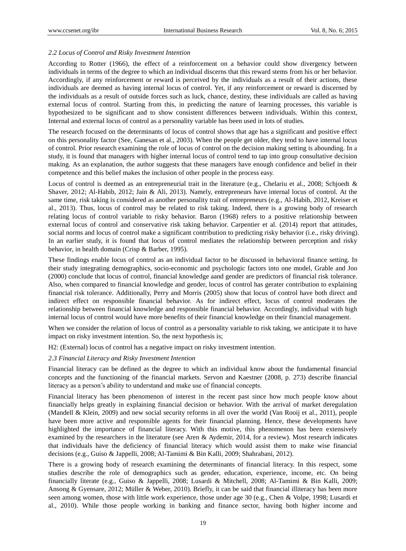## *2.2 Locus of Control and Risky Investment Intention*

According to Rotter (1966), the effect of a reinforcement on a behavior could show divergency between individuals in terms of the degree to which an individual discerns that this reward stems from his or her behavior. Accordingly, if any reinforcement or reward is perceived by the individuals as a result of their actions, these individuals are deemed as having internal locus of control. Yet, if any reinforcement or reward is discerned by the individuals as a result of outside forces such as luck, chance, destiny, these individuals are called as having external locus of control. Starting from this, in predicting the nature of learning processes, this variable is hypothesized to be significant and to show consistent differences between individuals. Within this context, Internal and external locus of control as a personality variable has been used in lots of studies.

The research focused on the determinants of locus of control shows that age has a significant and positive effect on this personality factor (See, Ganesan et al., 2003). When the people get older, they tend to have internal locus of control. Prior research examining the role of locus of control on the decision making setting is abounding. In a study, it is found that managers with higher internal locus of control tend to tap into group consultative decision making. As an explanation, the author suggests that these managers have enough confidence and belief in their competence and this belief makes the inclusion of other people in the process easy.

Locus of control is deemed as an entrepreneurial trait in the literature (e.g., Chelariu et al., 2008; Schjoedt & Shaver, 2012; Al-Habib, 2012; Jain & Ali, 2013). Namely, entrepreneurs have internal locus of control. At the same time, risk taking is considered as another personality trait of entrepreneurs (e.g., Al-Habib, 2012, Kreiser et al., 2013). Thus, locus of control may be related to risk taking. Indeed, there is a growing body of research relating locus of control variable to risky behavior. Baron (1968) refers to a positive relationship between external locus of control and conservative risk taking behavior. Carpentier et al. (2014) report that attitudes, social norms and locus of control make a significant contribution to predicting risky behavior (i.e., risky driving). In an earlier study, it is found that locus of control mediates the relationship between perception and risky behavior, in health domain (Crisp & Barber, 1995).

These findings enable locus of control as an individual factor to be discussed in behavioral finance setting. In their study integrating demographics, socio-economic and psychologic factors into one model, Grable and Joo (2000) conclude that locus of control, financial knowledge aand gender are predictors of financial risk tolerance. Also, when compared to financial knowledge and gender, locus of control has gerater contribution to explaining financial risk tolerance. Additionally, Perry and Morris (2005) show that locus of control have both direct and indirect effect on responsible financial behavior. As for indirect effect, locus of control moderates the relationship between financial knowledge and responsible financial behavior. Accordingly, individual with high internal locus of control would have more benefits of their financial knowledge on their financial management.

When we consider the relation of locus of control as a personality variable to risk taking, we anticipate it to have impact on risky investment intention. So, the next hypothesis is;

H2: (External) locus of control has a negative impact on risky investment intention.

## *2.3 Financial Literacy and Risky Investment Intention*

Financial literacy can be defined as the degree to which an individual know about the fundamental financial concepts and the functioning of the financial markets. Servon and Kaestner (2008, p. 273) describe financial literacy as a person's ability to understand and make use of financial concepts.

Financial literacy has been phenomenon of interest in the recent past since how much people know about financially helps greatly in explaining financial decision or behavior. With the arrival of market deregulation (Mandell & Klein, 2009) and new social security reforms in all over the world (Van Rooij et al., 2011), people have been more active and responsible agents for their financial planning. Hence, these developments have highlighted the importance of financial literacy. With this motive, this phenomenon has been extensively examined by the researchers in the literature (see Aren & Aydemir, 2014, for a review). Most research indicates that individuals have the deficiency of financial literacy which would assist them to make wise financial decisions (e.g., Guiso & Jappelli, 2008; Al-Tamimi & Bin Kalli, 2009; Shahrabani, 2012).

There is a growing body of research examining the determinants of financial literacy. In this respect, some studies describe the role of demographics such as gender, education, experience, income, etc. On being financially literate (e.g., Guiso & Jappelli, 2008; Lusardi & Mitchell, 2008; Al-Tamimi & Bin Kalli, 2009; Ansong & Gyensare, 2012; Müller & Weber, 2010). Briefly, it can be said that financial illiteracy has been more seen among women, those with little work experience, those under age 30 (e.g., Chen & Volpe, 1998; Lusardi et al., 2010). While those people working in banking and finance sector, having both higher income and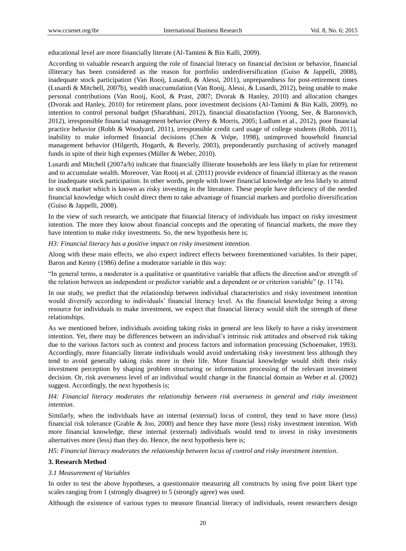educational level are more financially literate (Al-Tamimi & Bin Kalli, 2009).

According to valuable research arguing the role of financial literacy on financial decision or behavior, financial illiteracy has been considered as the reason for portfolio underdiversification (Guiso & Jappelli, 2008), inadequate stock participation (Van Rooij, Lusardi, & Alessi, 2011), unpreparedness for post-retirement times (Lusardi & Mitchell, 2007b), wealth unaccumulation (Van Rooij, Alessi, & Lusardi, 2012), being unable to make personal contributions (Van Rooij, Kool, & Prast, 2007; Dvorak & Hanley, 2010) and allocation changes (Dvorak and Hanley, 2010) for retirement plans, poor investment decisions (Al-Tamimi & Bin Kalli, 2009), no intention to control personal budget (Sharahbani, 2012), financial dissatisfaction (Yoong, See, & Baronovich, 2012), irresponsible financial management behavior (Perry & Morris, 2005; Ludlum et al., 2012), poor financial practice behavior (Robb & Woodyard, 2011), irresponsible credit card usage of college students (Robb, 2011), inability to make informed financial decisions (Chen & Volpe, 1998), unimproved household financial management behavior (Hilgerth, Hogarth, & Beverly, 2003), preponderantly purchasing of actively managed funds in spite of their high expenses (Müller & Weber, 2010).

Lusardi and Mitchell (2007a/b) indicate that financially illiterate households are less likely to plan for retirement and to accumulate wealth. Moreover, Van Rooij et al. (2011) provide evidence of financial illiteracy as the reason for inadequate stock participation. In other words, people with lower financial knowledge are less likely to attend in stock market which is known as risky investing in the literature. These people have deficiency of the needed financial knowledge which could direct them to take advantage of financial markets and portfolio diversification (Guiso & Jappelli, 2008).

In the view of such research, we anticipate that financial literacy of individuals has impact on risky investment intention. The more they know about financial concepts and the operating of financial markets, the more they have intention to make risky investments. So, the new hypothesis here is;

*H3: Financial literacy has a positive impact on risky investment intention.*

Along with these main effects, we also expect indirect effects between forementioned variables. In their paper, Baron and Kenny (1986) define a moderator variable in this way:

"In general terms, a moderator is a qualitative or quantitative variable that affects the direction and/or strength of the relation between an independent or predictor variable and a dependent or or criterion variable" (p. 1174).

In our study, we predict that the relationship between individual characteristics and risky investment intention would diversify according to individuals' financial literacy level. As the financial knowledge being a strong resource for individuals to make investment, we expect that financial literacy would shift the strength of these relationships.

As we mentioned before, individuals avoiding taking risks in general are less likely to have a risky investment intention. Yet, there may be differences between an individual's intrinsic risk attitudes and observed risk taking due to the various factors such as context and process factors and information processing (Schoemaker, 1993). Accordingly, more financially literate individuals would avoid undertaking risky investment less although they tend to avoid generally taking risks more in their life. More financial knowledge would shift their risky investment perception by shaping problem structuring or information processing of the relevant investment decision. Or, risk averseness level of an individual would change in the financial domain as Weber et al. (2002) suggest. Accordingly, the next hypothesis is;

## *H4: Financial literacy moderates the relationship between risk averseness in general and risky investment intention.*

Similarly, when the individuals have an internal (external) locus of control, they tend to have more (less) financial risk tolerance (Grable & Joo, 2000) and hence they have more (less) risky investment intention. With more financial knowledge, these internal (external) individuals would tend to invest in risky investments alternatives more (less) than they do. Hence, the next hypothesis here is;

*H5: Financial literacy moderates the relationship between locus of control and risky investment intention.*

# **3. Research Method**

#### *3.1 Measurement of Variables*

In order to test the above hypotheses, a questionnaire measuring all constructs by using five point likert type scales ranging from 1 (strongly disagree) to 5 (strongly agree) was used.

Although the existence of various types to measure financial literacy of individuals, resent researchers design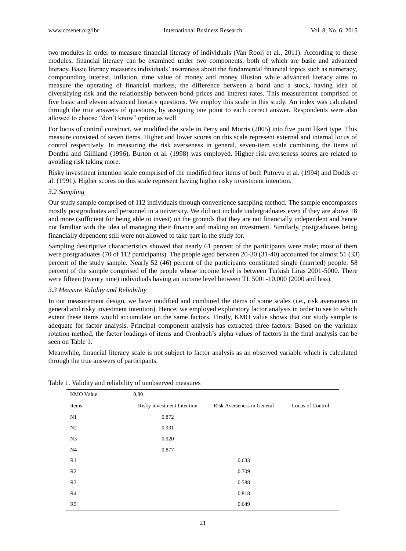two modules in order to measure financial literacy of individuals (Van Rooij et al., 2011). According to these modules, financial literacy can be examined under two components, both of which are basic and advanced literacy. Basic literacy measures individuals' awareness about the fundamental financial topics such as numeracy, compounding interest, inflation, time value of money and money illusion while advanced literacy aims to measure the operating of financial markets, the difference between a bond and a stock, having idea of diversifying risk and the relationship between bond prices and interest rates. This measurement comprised of five basic and eleven advanced literacy questions. We employ this scale in this study. An index was calculated through the true answers of questions, by assigning one point to each correct answer. Respondents were also allowed to choose "don't know" option as well.

For locus of control construct, we modified the scale in Perry and Morris (2005) into five point likert type. This measure consisted of seven items. Higher and lower scores on this scale represent external and internal locus of control respectively. In measuring the risk averseness in general, seven-item scale combining the items of Donthu and Gilliland (1996), Burton et al. (1998) was employed. Higher risk averseness scores are related to avoiding risk taking more.

Risky investment intention scale comprised of the modified four items of both Putrevu et al. (1994) and Dodds et al. (1991). Higher scores on this scale represent having higher risky investment intention.

## *3.2 Sampling*

Our study sample comprised of 112 individuals through convenience sampling method. The sample encompasses mostly postgraduates and personnel in a university. We did not include undergraduates even if they are above 18 and more (sufficient for being able to invest) on the grounds that they are not financially independent and hence not familiar with the idea of managing their finance and making an investment. Similarly, postgraduates being financially dependent still were not allowed to take part in the study for.

Sampling descriptive characteristics showed that nearly 61 percent of the participants were male; most of them were postgraduates (70 of 112 participants). The people aged between 20-30 (31-40) accounted for almost 51 (33) percent of the study sample. Nearly 52 (46) percent of the participants constituted single (married) people. 58 percent of the sample comprised of the people whose income level is between Turkish Liras 2001-5000. There were fifteen (twenty nine) individuals having an income level between TL 5001-10.000 (2000 and less).

## *3.3 Measure Validity and Reliability*

In our measurement design, we have modified and combined the items of some scales (i.e., risk averseness in general and risky investment intention). Hence, we employed exploratory factor analysis in order to see to which extent these items would accumulate on the same factors. Firstly, KMO value shows that our study sample is adequate for factor analysis. Principal component analysis has extracted three factors. Based on the varimax rotation method, the factor loadings of items and Cronbach's alpha values of factors in the final analysis can be seen on Table 1.

Meanwhile, financial literacy scale is not subject to factor analysis as an observed variable which is calculated through the true answers of participants.

| <b>KMO</b> Value | 0,80                       |                            |                  |
|------------------|----------------------------|----------------------------|------------------|
| Items            | Risky Investment Intention | Risk Averseness in General | Locus of Control |
| N1               | 0.872                      |                            |                  |
| N <sub>2</sub>   | 0.931                      |                            |                  |
| N <sub>3</sub>   | 0.920                      |                            |                  |
| N <sub>4</sub>   | 0.877                      |                            |                  |
| R <sub>1</sub>   |                            | 0.633                      |                  |
| R <sub>2</sub>   |                            | 0.709                      |                  |
| R <sub>3</sub>   |                            | 0.588                      |                  |
| R4               |                            | 0.818                      |                  |
| R <sub>5</sub>   |                            | 0.649                      |                  |

## Table 1. Validity and reliability of unobserved measures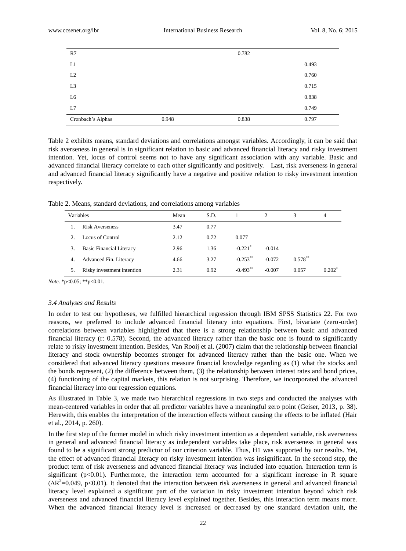| R7                |       | 0.782 |       |
|-------------------|-------|-------|-------|
| L1                |       |       | 0.493 |
| L2                |       |       | 0.760 |
| L <sub>3</sub>    |       |       | 0.715 |
| L6                |       |       | 0.838 |
| L7                |       |       | 0.749 |
| Cronbach's Alphas | 0.948 | 0.838 | 0.797 |

Table 2 exhibits means, standard deviations and correlations amongst variables. Accordingly, it can be said that risk averseness in general is in significant relation to basic and advanced financial literacy and risky investment intention. Yet, locus of control seems not to have any significant association with any variable. Basic and advanced financial literacy correlate to each other significantly and positively. Last, risk averseness in general and advanced financial literacy significantly have a negative and positive relation to risky investment intention respectively.

Table 2. Means, standard deviations, and correlations among variables

|               | Variables                       | Mean | S.D. |                       |          |            | 4         |
|---------------|---------------------------------|------|------|-----------------------|----------|------------|-----------|
|               | <b>Risk Averseness</b>          | 3.47 | 0.77 |                       |          |            |           |
| $\mathcal{D}$ | Locus of Control                | 2.12 | 0.72 | 0.077                 |          |            |           |
| 3.            | <b>Basic Financial Literacy</b> | 2.96 | 1.36 | $-0.221$ <sup>*</sup> | $-0.014$ |            |           |
| 4.            | Advanced Fin. Literacy          | 4.66 | 3.27 | $-0.253***$           | $-0.072$ | $0.578***$ |           |
|               | Risky investment intention      | 2.31 | 0.92 | $-0.493**$            | $-0.007$ | 0.057      | $0.202^*$ |

*Note.* \*p<0.05; \*\*p<0.01.

#### *3.4 Analyses and Results*

In order to test our hypotheses, we fulfilled hierarchical regression through IBM SPSS Statistics 22. For two reasons, we preferred to include advanced financial literacy into equations. First, bivariate (zero-order) correlations between variables highlighted that there is a strong relationship between basic and advanced financial literacy (r: 0.578). Second, the advanced literacy rather than the basic one is found to significantly relate to risky investment intention. Besides, Van Rooij et al. (2007) claim that the relationship between financial literacy and stock ownership becomes stronger for advanced literacy rather than the basic one. When we considered that advanced literacy questions measure financial knowledge regarding as (1) what the stocks and the bonds represent, (2) the difference between them, (3) the relationship between interest rates and bond prices, (4) functioning of the capital markets, this relation is not surprising. Therefore, we incorporated the advanced financial literacy into our regression equations.

As illustrated in Table 3, we made two hierarchical regressions in two steps and conducted the analyses with mean-centered variables in order that all predictor variables have a meaningful zero point (Geiser, 2013, p. 38). Herewith, this enables the interpretation of the interaction effects without causing the effects to be inflated (Hair et al., 2014, p. 260).

In the first step of the former model in which risky investment intention as a dependent variable, risk averseness in general and advanced financial literacy as independent variables take place, risk averseness in general was found to be a significant strong predictor of our criterion variable. Thus, H1 was supported by our results. Yet, the effect of advanced financial literacy on risky investment intention was insignificant. In the second step, the product term of risk averseness and advanced financial literacy was included into equation. Interaction term is significant ( $p<0.01$ ). Furthermore, the interaction term accounted for a significant increase in R square  $(\Delta R^2 = 0.049, p < 0.01)$ . It denoted that the interaction between risk averseness in general and advanced financial literacy level explained a significant part of the variation in risky investment intention beyond which risk averseness and advanced financial literacy level explained together. Besides, this interaction term means more. When the advanced financial literacy level is increased or decreased by one standard deviation unit, the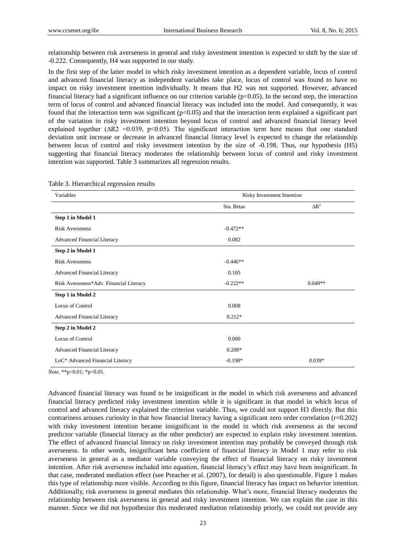relationship between risk averseness in general and risky investment intention is expected to shift by the size of -0.222. Consequently, H4 was supported in our study.

In the first step of the latter model in which risky investment intention as a dependent variable, locus of control and advanced financial literacy as independent variables take place, locus of control was found to have no impact on risky investment intention individually. It means that H2 was not supported. However, advanced financial literacy had a significant influence on our criterion variable ( $p<0.05$ ). In the second step, the interaction term of locus of control and advanced financial literacy was included into the model. And consequently, it was found that the interaction term was significant  $(p<0.05)$  and that the interaction term explained a significant part of the variation in risky investment intention beyond locus of control and advanced financial literacy level explained together ( $\Delta R2 = 0.039$ , p<0.05). The significant interaction term here means that one standard deviation unit increase or decrease in advanced financial literacy level is expected to change the relationship between locus of control and risky investment intention by the size of -0.198. Thus, our hypothesis (H5) suggesting that financial literacy moderates the relationship between locus of control and risky investment intention was supported. Table 3 summarizes all regression results.

| Variables                               | Risky Investment Intention |              |  |
|-----------------------------------------|----------------------------|--------------|--|
|                                         | Sta. Betas                 | $\Delta R^2$ |  |
| Step 1 in Model 1                       |                            |              |  |
| <b>Risk Averseness</b>                  | $-0.472**$                 |              |  |
| Advanced Financial Literacy             | 0.082                      |              |  |
| Step 2 in Model 1                       |                            |              |  |
| <b>Risk Averseness</b>                  | $-0.446**$                 |              |  |
| <b>Advanced Financial Literacy</b>      | 0.105                      |              |  |
| Risk Averseness*Adv. Financial Literacy | $-0.222**$                 | $0.049**$    |  |
| Step 1 in Model 2                       |                            |              |  |
| Locus of Control                        | 0.008                      |              |  |
| Advanced Financial Literacy             | $0.212*$                   |              |  |
| Step 2 in Model 2                       |                            |              |  |
| Locus of Control                        | 0.000                      |              |  |
| <b>Advanced Financial Literacy</b>      | $0.208*$                   |              |  |
| LoC* Advanced Financial Literacy        | $-0.198*$                  | $0.039*$     |  |

Table 3. Hierarchical regression results

*Note.* \*\*p<0.01; \*p<0.05.

Advanced financial literacy was found to be insignificant in the model in which risk averseness and advanced financial literacy predicted risky investment intention while it is significant in that model in which locus of control and advanced literacy explained the criterion variable. Thus, we could not support H3 directly. But this contrariness arouses curiosity in that how financial literacy having a significant zero order correlation (r=0.202) with risky investment intention became insignificant in the model in which risk averseness as the second predictor variable (financial literacy as the other predictor) are expected to explain risky investment intention. The effect of advanced financial literacy on risky investment intention may probably be conveyed through risk averseness. In other words, insignificant beta coefficient of financial literacy in Model 1 may refer to risk averseness in general as a mediator variable conveying the effect of financial literacy on risky investment intention. After risk averseness included into equation, financial literacy's effect may have been insignificant. In that case, moderated mediation effect (see Preacher et al. (2007), for detail) is also questionable. Figure 1 makes this type of relationship more visible. According to this figure, financial literacy has impact on behavior intention. Additionally, risk averseness in general mediates this relationship. What's more, financial literacy moderates the relationship between risk averseness in general and risky investment intention. We can explain the case in this manner. Since we did not hypothesize this moderated mediation relationship priorly, we could not provide any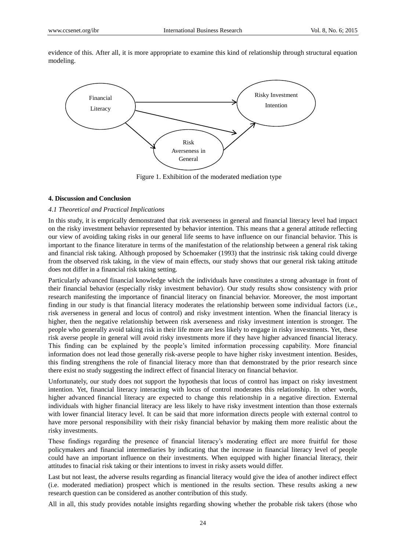evidence of this. After all, it is more appropriate to examine this kind of relationship through structural equation modeling.



Figure 1. Exhibition of the moderated mediation type

#### **4. Discussion and Conclusion**

#### *4.1 Theoretical and Practical Implications*

In this study, it is emprically demonstrated that risk averseness in general and financial literacy level had impact on the risky investment behavior represented by behavior intention. This means that a general attitude reflecting our view of avoiding taking risks in our general life seems to have influence on our financial behavior. This is important to the finance literature in terms of the manifestation of the relationship between a general risk taking and financial risk taking. Although proposed by Schoemaker (1993) that the instrinsic risk taking could diverge from the observed risk taking, in the view of main effects, our study shows that our general risk taking attitude does not differ in a financial risk taking setting.

Particularly advanced financial knowledge which the individuals have constitutes a strong advantage in front of their financial behavior (especially risky investment behavior). Our study results show consistency with prior research manifesting the importance of financial literacy on financial behavior. Moreover, the most important finding in our study is that financial literacy moderates the relationship between some individual factors (i.e., risk averseness in general and locus of control) and risky investment intention. When the financial literacy is higher, then the negative relationship between risk averseness and risky investment intention is stronger. The people who generally avoid taking risk in their life more are less likely to engage in risky investments. Yet, these risk averse people in general will avoid risky investments more if they have higher advanced financial literacy. This finding can be explained by the people's limited information processing capability. More financial information does not lead those generally risk-averse people to have higher risky investment intention. Besides, this finding strengthens the role of financial literacy more than that demonstrated by the prior research since there exist no study suggesting the indirect effect of financial literacy on financial behavior.

Unfortunately, our study does not support the hypothesis that locus of control has impact on risky investment intention. Yet, financial literacy interacting with locus of control moderates this relationship. In other words, higher advanced financial literacy are expected to change this relationship in a negative direction. External individuals with higher financial literacy are less likely to have risky investment intention than those externals with lower financial literacy level. It can be said that more information directs people with external control to have more personal responsibility with their risky financial behavior by making them more realistic about the risky investments.

These findings regarding the presence of financial literacy's moderating effect are more fruitful for those policymakers and financial intermediaries by indicating that the increase in financial literacy level of people could have an important influence on their investments. When equipped with higher financial literacy, their attitudes to finacial risk taking or their intentions to invest in risky assets would differ.

Last but not least, the adverse results regarding as financial literacy would give the idea of another indirect effect (i.e. moderated mediation) prospect which is mentioned in the results section. These results asking a new research question can be considered as another contribution of this study.

All in all, this study provides notable insights regarding showing whether the probable risk takers (those who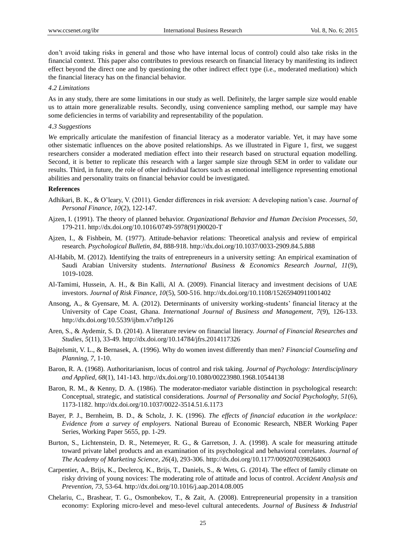don't avoid taking risks in general and those who have internal locus of control) could also take risks in the financial context. This paper also contributes to previous research on financial literacy by manifesting its indirect effect beyond the direct one and by questioning the other indirect effect type (i.e., moderated mediation) which the financial literacy has on the financial behavior.

#### *4.2 Limitations*

As in any study, there are some limitations in our study as well. Definitely, the larger sample size would enable us to attain more generalizable results. Secondly, using convenience sampling method, our sample may have some deficiencies in terms of variability and representability of the population.

#### *4.3 Suggestions*

*W*e emprically articulate the manifestion of financial literacy as a moderator variable. Yet, it may have some other sistematic influences on the above posited relationships. As we illustrated in Figure 1, first, we suggest researchers consider a moderated mediation effect into their research based on structural equation modelling. Second, it is better to replicate this research with a larger sample size through SEM in order to validate our results. Third, in future, the role of other individual factors such as emotional intelligence representing emotional abilities and personality traits on financial behavior could be investigated.

#### **References**

- Adhikari, B. K., & O'leary, V. (2011). Gender differences in risk aversion: A developing nation's case. *Journal of Personal Finance, 10*(2), 122-147.
- Ajzen, I. (1991). The theory of planned behavior. *Organizational Behavior and Human Decision Processes, 50*, 179-211. http://dx.doi.org/10.1016/0749-5978(91)90020-T
- Ajzen, I., & Fishbein, M. (1977). Attitude-behavior relations: Theoretical analysis and review of empirical research. *Psychological Bulletin, 84*, 888-918. http://dx.doi.org/10.1037/0033-2909.84.5.888
- Al-Habib, M. (2012). Identifying the traits of entrepreneurs in a university setting: An empirical examination of Saudi Arabian University students. *International Business & Economics Research Journal, 11*(9), 1019-1028.
- Al-Tamimi, Hussein, A. H., & Bin Kalli, Al A. (2009). Financial literacy and investment decisions of UAE investors. *Journal of Risk Finance, 10*(5), 500-516. http://dx.doi.org/10.1108/15265940911001402
- Ansong, A., & Gyensare, M. A. (2012). Determinants of university working-students' financial literacy at the University of Cape Coast, Ghana. *International Journal of Business and Management, 7*(9), 126-133. http://dx.doi.org/10.5539/ijbm.v7n9p126
- Aren, S., & Aydemir, S. D. (2014). A literature review on financial literacy. *Journal of Financial Researches and Studies, 5*(11), 33-49. http://dx.doi.org/10.14784/jfrs.2014117326
- Bajtelsmit, V. L., & Bernasek, A. (1996). Why do women invest differently than men? *Financial Counseling and Planning, 7*, 1-10.
- Baron, R. A. (1968). Authoritarianism, locus of control and risk taking. *Journal of Psychology: Interdisciplinary and Applied, 68*(1), 141-143. http://dx.doi.org/10.1080/00223980.1968.10544138
- Baron, R. M., & Kenny, D. A. (1986). The moderator-mediator variable distinction in psychological research: Conceptual, strategic, and statistical considerations. *Journal of Personality and Social Psychologhy, 51*(6), 1173-1182. http://dx.doi.org/10.1037/0022-3514.51.6.1173
- Bayer, P. J., Bernheim, B. D., & Scholz, J. K. (1996). *The effects of financial education in the workplace: Evidence from a survey of employers.* National Bureau of Economic Research, NBER Working Paper Series, Working Paper 5655, pp. 1-29.
- Burton, S., Lichtenstein, D. R., Netemeyer, R. G., & Garretson, J. A. (1998). A scale for measuring attitude toward private label products and an examination of its psychological and behavioral correlates. *Journal of The Academy of Marketing Science, 26*(4), 293-306. http://dx.doi.org/10.1177/0092070398264003
- Carpentier, A., Brijs, K., Declercq, K., Brijs, T., Daniels, S., & Wets, G. (2014). The effect of family climate on risky driving of young novices: The moderating role of attitude and locus of control. *Accident Analysis and Prevention, 73*, 53-64. http://dx.doi.org/10.1016/j.aap.2014.08.005
- Chelariu, C., Brashear, T. G., Osmonbekov, T., & Zait, A. (2008). Entrepreneurial propensity in a transition economy: Exploring micro-level and meso-level cultural antecedents. *Journal of Business & Industrial*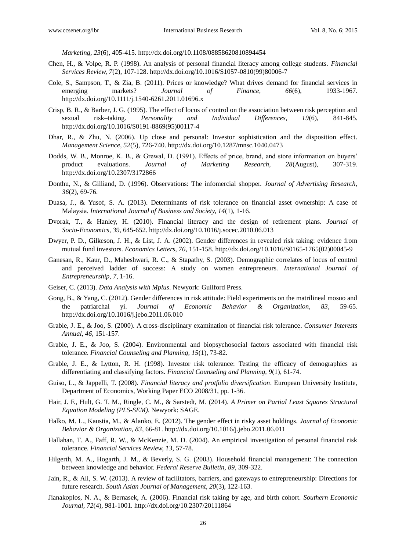*Marketing, 23*(6), 405-415. http://dx.doi.org/10.1108/08858620810894454

- Chen, H., & Volpe, R. P. (1998). An analysis of personal financial literacy among college students. *Financial Services Review, 7*(2), 107-128. http://dx.doi.org/10.1016/S1057-0810(99)80006-7
- Cole, S., Sampson, T., & Zia, B. (2011). Prices or knowledge? What drives demand for financial services in emerging markets? *Journal of Finance, 66*(6), 1933-1967. http://dx.doi.org/10.1111/j.1540-6261.2011.01696.x
- Crisp, B. R., & Barber, J. G. (1995). The effect of locus of control on the association between risk perception and sexual risk–taking. *Personality and Individual Differences, 19*(6), 841-845. http://dx.doi.org/10.1016/S0191-8869(95)00117-4
- Dhar, R., & Zhu, N. (2006). Up close and personal: Investor sophistication and the disposition effect. *Management Science, 52*(5), 726-740. http://dx.doi.org/10.1287/mnsc.1040.0473
- Dodds, W. B., Monroe, K. B., & Grewal, D. (1991). Effects of price, brand, and store information on buyers' product evaluations. *Journal of Marketing Research, 28*(August), 307-319. http://dx.doi.org/10.2307/3172866
- Donthu, N., & Gilliand, D. (1996). Observations: The infomercial shopper. *Journal of Advertising Research, 36*(2), 69-76.
- Duasa, J., & Yusof, S. A. (2013). Determinants of risk tolerance on financial asset ownership: A case of Malaysia. *International Journal of Business and Society, 14*(1), 1-16.
- Dvorak, T., & Hanley, H. (2010). Financial literacy and the design of retirement plans. *Journal of Socio-Economics, 39*, 645-652. http://dx.doi.org/10.1016/j.socec.2010.06.013
- Dwyer, P. D., Gilkeson, J. H., & List, J. A. (2002). Gender differences in revealed risk taking: evidence from mutual fund investors. *Economics Letters, 76*, 151-158. http://dx.doi.org/10.1016/S0165-1765(02)00045-9
- Ganesan, R., Kaur, D., Maheshwari, R. C., & Stapathy, S. (2003). Demographic correlates of locus of control and perceived ladder of success: A study on women entrepreneurs. *International Journal of Entrepreneurship, 7*, 1-16.
- Geiser, C. (2013). *Data Analysis with Mplus*. Newyork: Guilford Press.
- Gong, B., & Yang, C. (2012). Gender differences in risk attitude: Field experiments on the matrilineal mosuo and the patriarchal yi. *Journal of Economic Behavior & Organization, 83*, 59-65. http://dx.doi.org/10.1016/j.jebo.2011.06.010
- Grable, J. E., & Joo, S. (2000). A cross-disciplinary examination of financial risk tolerance. *Consumer Interests Annual, 46*, 151-157.
- Grable, J. E., & Joo, S. (2004). Environmental and biopsychosocial factors associated with financial risk tolerance. *Financial Counseling and Planning, 15*(1), 73-82.
- Grable, J. E., & Lytton, R. H. (1998). Investor risk tolerance: Testing the efficacy of demographics as differentiating and classifying factors. *Financial Counseling and Planning, 9*(1), 61-74.
- Guiso, L., & Jappelli, T. (2008). *Financial literacy and protfolio diversification*. European University Institute, Department of Economics, Working Paper ECO 2008/31, pp. 1-36.
- Hair, J. F., Hult, G. T. M., Ringle, C. M., & Sarstedt, M. (2014). *A Primer on Partial Least Squares Structural Equation Modeling (PLS-SEM)*. Newyork: SAGE.
- Halko, M. L., Kaustia, M., & Alanko, E. (2012). The gender effect in risky asset holdings. *Journal of Economic Behavior & Organization, 83*, 66-81. http://dx.doi.org/10.1016/j.jebo.2011.06.011
- Hallahan, T. A., Faff, R. W., & McKenzie, M. D. (2004). An empirical investigation of personal financial risk tolerance. *Financial Services Review, 13*, 57-78.
- Hilgerth, M. A., Hogarth, J. M., & Beverly, S. G. (2003). Household financial management: The connection between knowledge and behavior. *Federal Reserve Bulletin, 89*, 309-322.
- Jain, R., & Ali, S. W. (2013). A review of facilitators, barriers, and gateways to entrepreneurship: Directions for future research. *South Asian Journal of Management, 20*(3), 122-163.
- Jianakoplos, N. A., & Bernasek, A. (2006). Financial risk taking by age, and birth cohort. *Southern Economic Journal, 72*(4), 981-1001. http://dx.doi.org/10.2307/20111864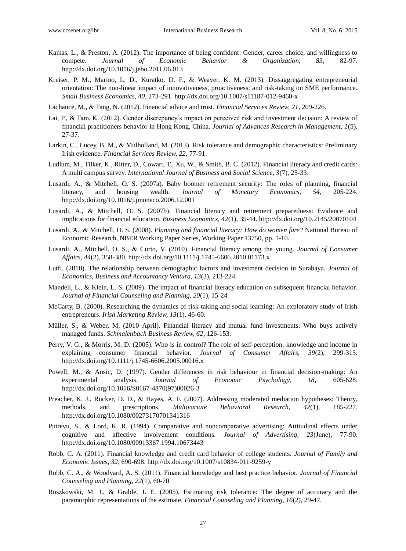- Kamas, L., & Preston, A. (2012). The importance of being confident: Gender, career choice, and willingness to compete. *Journal of Economic Behavior & Organization, 83*, 82-97. http://dx.doi.org/10.1016/j.jebo.2011.06.013
- Kreiser, P. M., Marino, L. D., Kuratko, D. F., & Weaver, K. M. (2013). Dissaggregating entrepreneurial orientation: The non-linear impact of innovativeness, proactiveness, and risk-taking on SME performance. *Small Business Economics, 40*, 273-291. http://dx.doi.org/10.1007/s11187-012-9460-x
- Lachance, M., & Tang, N. (2012). Financial advice and trust. *Financial Services Review, 21*, 209-226.
- Lai, P., & Tam, K. (2012). Gender discrepancy's impact on perceived risk and investment decision: A review of financial practitioners behavior in Hong Kong, China. *Journal of Advances Research in Management, 1*(5), 27-37.
- Larkin, C., Lucey, B. M., & Mulholland, M. (2013). Risk tolerance and demographic characteristics: Preliminary Irish evidence. *Financial Services Review, 22*, 77-91.
- Ludlum, M., Tilker, K., Ritter, D., Cowart, T., Xu, W., & Smith, B. C. (2012). Financial literacy and credit cards: A multi campus survey. *International Journal of Business and Social Science, 3*(7), 25-33.
- Lusardi, A., & Mitchell, O. S. (2007a). Baby boomer retirement security: The roles of planning, financial literacy, and housing wealth. *Journal of Monetary Economics, 54*, 205-224. http://dx.doi.org/10.1016/j.jmoneco.2006.12.001
- Lusardi, A., & Mitchell, O. S. (2007b). Financial literacy and retirement preparedness: Evidence and implications for financial education. *Business Economics, 42*(1), 35-44. http://dx.doi.org/10.2145/20070104
- Lusardi, A., & Mitchell, O. S. (2008). *Planning and financial literacy: How do women fare?* National Bureau of Economic Research, NBER Working Paper Series, Working Paper 13750, pp. 1-10.
- Lusardi, A., Mitchell, O. S., & Curto, V. (2010). Financial literacy among the young. *Journal of Consumer Affairs, 44*(2), 358-380. http://dx.doi.org/10.1111/j.1745-6606.2010.01173.x
- Lutfi. (2010). The relationship between demographic factors and investment decision in Surabaya. *Journal of Economics, Business and Accountancy Ventura, 13*(3), 213-224.
- Mandell, L., & Klein, L. S. (2009). The impact of financial literacy education on subsequent financial behavior. *Journal of Financial Counseling and Planning, 20*(1), 15-24.
- McCarty, B. (2000). Researching the dynamics of risk-taking and social learning: An exploratory study of Irish entrepreneurs. *Irish Marketing Review, 13*(1), 46-60.
- Müller, S., & Weber, M. (2010 April). Financial literacy and mutual fund investments: Who buys actively managed funds. *Schmalenbach Business Review, 62*, 126-153.
- Perry, V. G., & Morris, M. D. (2005). Who is in control? The role of self-perception, knowledge and income in explaining consumer financial behavior. *Journal of Consumer Affairs, 39*(2), 299-313. http://dx.doi.org/10.1111/j.1745-6606.2005.00016.x
- Powell, M., & Ansic, D. (1997). Gender differences in risk behaviour in financial decision-making: An experimental analysis. *Journal of Economic Psychology, 18*, 605-628. http://dx.doi.org/10.1016/S0167-4870(97)00026-3
- Preacher, K. J., Rucker, D. D., & Hayes, A. F. (2007). Addressing moderated mediation hypotheses: Theory, methods, and prescriptions. *Multivariate Behavioral Research, 42*(1), 185-227. http://dx.doi.org/10.1080/00273170701341316
- Putrevu, S., & Lord, K. R. (1994). Comparative and noncomparative advertising: Attitudinal effects under cognitive and affective involvement conditions. *Journal of Advertising, 23*(June), 77-90. http://dx.doi.org/10.1080/00913367.1994.10673443
- Robb, C. A. (2011). Financial knowledge and credit card behavior of college students. *Journal of Family and Economic Issues, 32*, 690-698. http://dx.doi.org/10.1007/s10834-011-9259-y
- Robb, C. A., & Woodyard, A. S. (2011). Financial knowledge and best practice behavior. *Journal of Financial Counseling and Planning, 22*(1), 60-70.
- Roszkowski, M. J., & Grable, J. E. (2005). Estimating risk tolerance: The degree of accuracy and the paramorphic representations of the estimate. *Financial Counseling and Planning, 16*(2), 29-47.